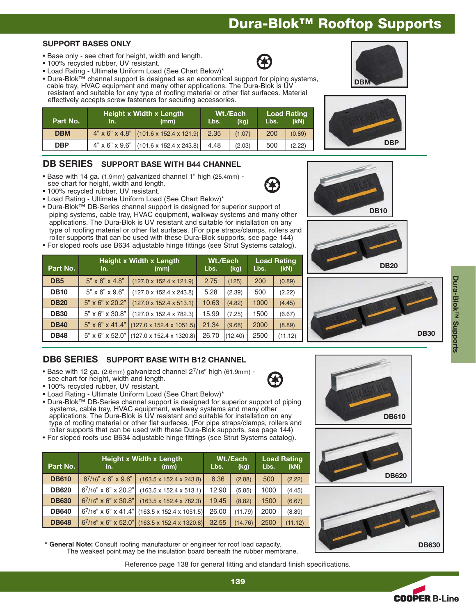# **Dura-Blok™ Rooftop Supports**

#### **SUPPORT BASES ONLY**

- Base only see chart for height, width and length.
- 100% recycled rubber, UV resistant.
- Load Rating Ultimate Uniform Load (See Chart Below)\*
- Dura-Blok™ channel support is designed as an economical support for piping systems, cable tray, HVAC equipment and many other applications. The Dura-Blok is UV resistant and suitable for any type of roofing material or other flat surfaces. Material effectively accepts screw fasteners for securing accessories.

| ltectively accepts screw fasteners for securing accessories. |     |                                          |                                  |        |                     |        |  |  |
|--------------------------------------------------------------|-----|------------------------------------------|----------------------------------|--------|---------------------|--------|--|--|
| Part No.                                                     | In. | Height x Width x Length<br>(mm)          | Wt./Each<br>(kg)<br>Lbs.<br>Lbs. |        | Load Rating<br>(kN) |        |  |  |
| <b>DBM</b>                                                   |     | $4"$ x 6" x 4.8" (101.6 x 152.4 x 121.9) | 2.35                             | (1.07) | 200                 | (0.89) |  |  |
| <b>DBP</b>                                                   |     | $4"$ x 6" x 9.6" (101.6 x 152.4 x 243.8) | 4.48                             | (2.03) | 500                 | (2.22) |  |  |

## **DB SERIES SUPPORT BASE WITH B44 CHANNEL**

- Base with 14 ga. (1.9mm) galvanized channel 1" high (25.4mm) see chart for height, width and length.
- 100% recycled rubber, UV resistant.
- Load Rating Ultimate Uniform Load (See Chart Below)\*
- Dura-Blok™ DB-Series channel support is designed for superior support of piping systems, cable tray, HVAC equipment, walkway systems and many other applications. The Dura-Blok is UV resistant and suitable for installation on any type of roofing material or other flat surfaces. (For pipe straps/clamps, rollers and roller supports that can be used with these Dura-Blok supports, see page 144)
- For sloped roofs use B634 adjustable hinge fittings (see Strut Systems catalog).

| Part No.        | <b>Height x Width x Length</b><br>(mm)<br>In. |                                      | Wt./Each<br>Lbs. | (kg)    | Lbs. | <b>Load Rating</b><br>(kN) |
|-----------------|-----------------------------------------------|--------------------------------------|------------------|---------|------|----------------------------|
| D <sub>B5</sub> | $5" \times 6" \times 4.8"$                    | $(127.0 \times 152.4 \times 121.9)$  | 2.75             | (125)   | 200  | (0.89)                     |
| <b>DB10</b>     | $5" \times 6" \times 9.6"$                    | $(127.0 \times 152.4 \times 243.8)$  | 5.28             | (2.39)  | 500  | (2.22)                     |
| <b>DB20</b>     | $5" \times 6" \times 20.2"$                   | $(127.0 \times 152.4 \times 513.1)$  | 10.63            | (4.82)  | 1000 | (4.45)                     |
| <b>DB30</b>     | $5" \times 6" \times 30.8"$                   | $(127.0 \times 152.4 \times 782.3)$  | 15.99            | (7.25)  | 1500 | (6.67)                     |
| <b>DB40</b>     | $5" \times 6" \times 41.4"$                   | $(127.0 \times 152.4 \times 1051.5)$ | 21.34            | (9.68)  | 2000 | (8.89)                     |
| <b>DB48</b>     | $5" \times 6" \times 52.0"$                   | $(127.0 \times 152.4 \times 1320.8)$ | 26.70            | (12.40) | 2500 | (11.12)                    |

## **DB6 SERIES SUPPORT BASE WITH B12 CHANNEL**

- Base with 12 ga. (2.6mm) galvanized channel 27/16" high (61.9mm) see chart for height, width and length.
- 100% recycled rubber, UV resistant.
- Load Rating Ultimate Uniform Load (See Chart Below)\*
- Dura-Blok™ DB-Series channel support is designed for superior support of piping systems, cable tray, HVAC equipment, walkway systems and many other applications. The Dura-Blok is UV resistant and suitable for installation on any type of roofing material or other flat surfaces. (For pipe straps/clamps, rollers and roller supports that can be used with these Dura-Blok supports, see page 144)
- For sloped roofs use B634 adjustable hinge fittings (see Strut Systems catalog).

| Part No.     | <b>Height x Width x Length</b><br>In.<br>(mm) |                                                   | Lbs.  | Wt./Each<br>(kg) | Lbs. | <b>Load Rating</b><br>(kN) |
|--------------|-----------------------------------------------|---------------------------------------------------|-------|------------------|------|----------------------------|
| <b>DB610</b> | $6^{7}/16"$ x 6" x 9.6"                       | $(163.5 \times 152.4 \times 243.8)$               | 6.36  | (2.88)           | 500  | (2.22)                     |
| <b>DB620</b> | $67/16"$ x 6" x 20.2"                         | $(163.5 \times 152.4 \times 513.1)$               | 12.90 | (5.85)           | 1000 | (4.45)                     |
| <b>DB630</b> | $6^{7}/16"$ x 6" x 30.8"                      | $(163.5 \times 152.4 \times 782.3)$               | 19.45 | (8.82)           | 1500 | (6.67)                     |
| <b>DB640</b> |                                               | $67/16"$ x 6" x 41.4" (163.5 x 152.4 x 1051.5)    | 26.00 | (11.79)          | 2000 | (8.89)                     |
| <b>DB648</b> |                                               | $6^{7}/16"$ x 6" x 52.0" (163.5 x 152.4 x 1320.8) | 32.55 | (14.76)          | 2500 | (11.12)                    |

**\* General Note:** Consult roofing manufacturer or engineer for roof load capacity. The weakest point may be the insulation board beneath the rubber membrane.

Reference page 138 for general fitting and standard finish specifications.

















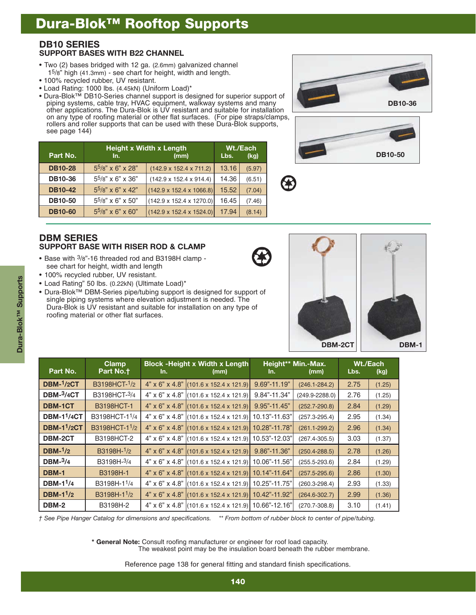## **Dura-Blok™ Rooftop Supports**

### **DB10 SERIES SUPPORT BASES WITH B22 CHANNEL**

- Two (2) bases bridged with 12 ga. (2.6mm) galvanized channel 15/8" high (41.3mm) - see chart for height, width and length.
- 100% recycled rubber, UV resistant.
- Load Rating: 1000 lbs. (4.45kN) (Uniform Load)\*
- Dura-Blok™ DB10-Series channel support is designed for superior support of piping systems, cable tray, HVAC equipment, walkway systems and many other applications. The Dura-Blok is UV resistant and suitable for installation on any type of roofing material or other flat surfaces. (For pipe straps/clamps, rollers and roller supports that can be used with these Dura-Blok supports, see page 144)





| Part No.       | <b>Height x Width x Length</b><br>(mm)<br>In. |                                      |       | Wt./Each<br>(kg) |
|----------------|-----------------------------------------------|--------------------------------------|-------|------------------|
| <b>DB10-28</b> | $5^{5/8}$ " x 6" x 28"                        | $(142.9 \times 152.4 \times 711.2)$  | 13.16 | (5.97)           |
| <b>DB10-36</b> | $5^{5}/8$ " x 6" x 36"                        | $(142.9 \times 152.4 \times 914.4)$  | 14.36 | (6.51)           |
| <b>DB10-42</b> | 55/8" x 6" x 42"                              | $(142.9 \times 152.4 \times 1066.8)$ | 15.52 | (7.04)           |
| <b>DB10-50</b> | 55/8" x 6" x 50"                              | $(142.9 \times 152.4 \times 1270.0)$ | 16.45 | (7.46)           |
| <b>DB10-60</b> | $5^{5}/8$ " x 6" x 60"                        | $(142.9 \times 152.4 \times 1524.0)$ | 17.94 | (8.14)           |

## **DBM SERIES SUPPORT BASE WITH RISER ROD & CLAMP**

- Base with 3/8"-16 threaded rod and B3198H clamp see chart for height, width and length
- 100% recycled rubber, UV resistant.
- Load Rating" 50 lbs. (0.22kN) (Ultimate Load)\*
- Dura-Blok™ DBM-Series pipe/tubing support is designed for support of single piping systems where elevation adjustment is needed. The Dura-Blok is UV resistant and suitable for installation on any type of roofing material or other flat surfaces.



| Part No.                     | <b>Clamp</b><br>Part No. <sup>+</sup> | In. | <b>Block - Height x Width x Length</b><br>(mm)         | ln.              | Height** Min.-Max.<br>(mm) | Wt./Each<br>Lbs. | (kg)   |
|------------------------------|---------------------------------------|-----|--------------------------------------------------------|------------------|----------------------------|------------------|--------|
| $DBM-1/2CT$                  | B3198HCT-1/2                          |     | $4"$ x 6" x 4.8" (101.6 x 152.4 x 121.9)               | $9.69" - 11.19"$ | $(246.1 - 284.2)$          | 2.75             | (1.25) |
| $DBM-3/4CT$                  | B3198HCT-3/4                          |     | $4"$ x 6" x 4.8" (101.6 x 152.4 x 121.9)               | $9.84" - 11.34"$ | $(249.9 - 2288.0)$         | 2.76             | (1.25) |
| <b>DBM-1CT</b>               | <b>B3198HCT-1</b>                     |     | $4"$ x 6" x 4.8" (101.6 x 152.4 x 121.9)               | 9.95"-11.45"     | $(252.7 - 290.8)$          | 2.84             | (1.29) |
| <b>DBM-1<sup>1</sup>/4CT</b> | B3198HCT-1 <sup>1</sup> /4            |     | $4"$ x 6" x 4.8" (101.6 x 152.4 x 121.9)               | 10.13"-11.63"    | $(257.3 - 295.4)$          | 2.95             | (1.34) |
| <b>DBM-1<sup>1</sup>/2CT</b> | B3198HCT-1 <sup>1</sup> /2            |     | $4"$ x 6" x 4.8" (101.6 x 152.4 x 121.9) 10.28"-11.78" |                  | $(261.1 - 299.2)$          | 2.96             | (1.34) |
| <b>DBM-2CT</b>               | B3198HCT-2                            |     | 4" x 6" x 4.8" (101.6 x 152.4 x 121.9) 10.53"-12.03"   |                  | $(267.4 - 305.5)$          | 3.03             | (1.37) |
| DBM- $1/2$                   | B3198H-1/2                            |     | $4"$ x 6" x 4.8" (101.6 x 152.4 x 121.9)               | $9.86" - 11.36"$ | $(250.4 - 288.5)$          | 2.78             | (1.26) |
| DBM- $3/4$                   | B3198H-3/4                            |     | 4" x 6" x 4.8" (101.6 x 152.4 x 121.9) 10.06"-11.56"   |                  | $(255.5 - 293.6)$          | 2.84             | (1.29) |
| DBM-1                        | B3198H-1                              |     | $4"$ x 6" x 4.8" (101.6 x 152.4 x 121.9) 10.14"-11.64" |                  | $(257.5 - 295.6)$          | 2.86             | (1.30) |
| DBM- $11/4$                  | B3198H-1 <sup>1</sup> /4              |     | 4" x 6" x 4.8" (101.6 x 152.4 x 121.9) 10.25"-11.75"   |                  | $(260.3 - 298.4)$          | 2.93             | (1.33) |
| DBM- $11/2$                  | B3198H-1 <sup>1</sup> /2              |     | 4" x 6" x 4.8" (101.6 x 152.4 x 121.9) 10.42"-11.92"   |                  | $(264.6 - 302.7)$          | 2.99             | (1.36) |
| DBM-2                        | B3198H-2                              |     | $4"$ x 6" x 4.8" (101.6 x 152.4 x 121.9) 10.66"-12.16" |                  | $(270.7 - 308.8)$          | 3.10             | (1.41) |

*† See Pipe Hanger Catalog for dimensions and specifications. \*\* From bottom of rubber block to center of pipe/tubing.*

**\* General Note:** Consult roofing manufacturer or engineer for roof load capacity.

The weakest point may be the insulation board beneath the rubber membrane.

Reference page 138 for general fitting and standard finish specifications.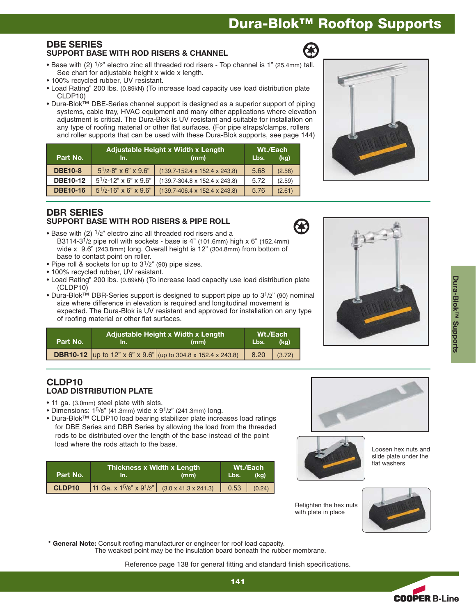## **Dura-Blok™ Rooftop Supports**

#### **DBE SERIES SUPPORT BASE WITH ROD RISERS & CHANNEL**

Reference page 138 for general fitting and standard finish specifications.

The weakest point may be the insulation board beneath the rubber membrane.

- Base with (2) 1/2" electro zinc all threaded rod risers Top channel is 1" (25.4mm) tall. See chart for adjustable height x wide x length.
- 100% recycled rubber, UV resistant.
- Load Rating" 200 lbs. (0.89kN) (To increase load capacity use load distribution plate CLDP10)
- Dura-Blok™ DBE-Series channel support is designed as a superior support of piping systems, cable tray, HVAC equipment and many other applications where elevation adjustment is critical. The Dura-Blok is UV resistant and suitable for installation on any type of roofing material or other flat surfaces. (For pipe straps/clamps, rollers and roller supports that can be used with these Dura-Blok supports, see page 144)

| Part No.        | Adjustable Height x Width x Length<br>(mm)<br>In. |                                             |      | Wt./Each<br>(kq) |
|-----------------|---------------------------------------------------|---------------------------------------------|------|------------------|
| <b>DBE10-8</b>  | $5^{1}/2 - 8$ " x 6" x 9.6"                       | $(139.7 - 152.4 \times 152.4 \times 243.8)$ | 5.68 | (2.58)           |
| <b>DBE10-12</b> | $5^{1}/2$ -12" x 6" x 9.6"                        | $(139.7 - 304.8 \times 152.4 \times 243.8)$ | 5.72 | (2.59)           |
| <b>DBE10-16</b> | $5^{1/2-16"$ x 6" x 9.6"                          | $(139.7 - 406.4 \times 152.4 \times 243.8)$ | 5.76 | (2.61)           |

### **DBR SERIES SUPPORT BASE WITH ROD RISERS & PIPE ROLL**

- Base with  $(2)$   $1/2$ " electro zinc all threaded rod risers and a B3114-3<sup>1</sup>/2 pipe roll with sockets - base is 4" (101.6mm) high x 6" (152.4mm) wide x 9.6" (243.8mm) long. Overall height is 12" (304.8mm) from bottom of base to contact point on roller.
- Pipe roll & sockets for up to  $3^{1/2}$ " (90) pipe sizes.
- 100% recycled rubber, UV resistant.
- Load Rating" 200 lbs. (0.89kN) (To increase load capacity use load distribution plate (CLDP10)
- Dura-Blok™ DBR-Series support is designed to support pipe up to 31/2" (90) nominal size where difference in elevation is required and longitudinal movement is expected. The Dura-Blok is UV resistant and approved for installation on any type of roofing material or other flat surfaces.

| Part No. | Adjustable Height x Width x Length<br>(mm)                          |      | Wt./Each<br>(ka) |
|----------|---------------------------------------------------------------------|------|------------------|
|          | <b>DBR10-12</b> up to 12" x 6" x 9.6" (up to 304.8 x 152.4 x 243.8) | 8.20 | (3.72)           |

### **CLDP10 LOAD DISTRIBUTION PLATE**

- 11 ga. (3.0mm) steel plate with slots.
- Dimensions:  $1^5/8$ " (41.3mm) wide x  $9^1/2$ " (241.3mm) long.
- Dura-Blok™ CLDP10 load bearing stabilizer plate increases load ratings for DBE Series and DBR Series by allowing the load from the threaded rods to be distributed over the length of the base instead of the point load where the rods attach to the base.

| Part No. | Thickness x Width x Length ,<br>(mm)<br>4n. Z                       |  | Wt./Each<br>(kg)<br>Lbs. . |        |
|----------|---------------------------------------------------------------------|--|----------------------------|--------|
| CLDP10   | 11 Ga. x $1^{\frac{5}{8}}$ x $9^{\frac{1}{2}}$ (3.0 x 41.3 x 241.3) |  |                            | (0.24) |

**\* General Note:** Consult roofing manufacturer or engineer for roof load capacity.





Loosen hex nuts and slide plate under the flat washers

Retighten the hex nuts with plate in place